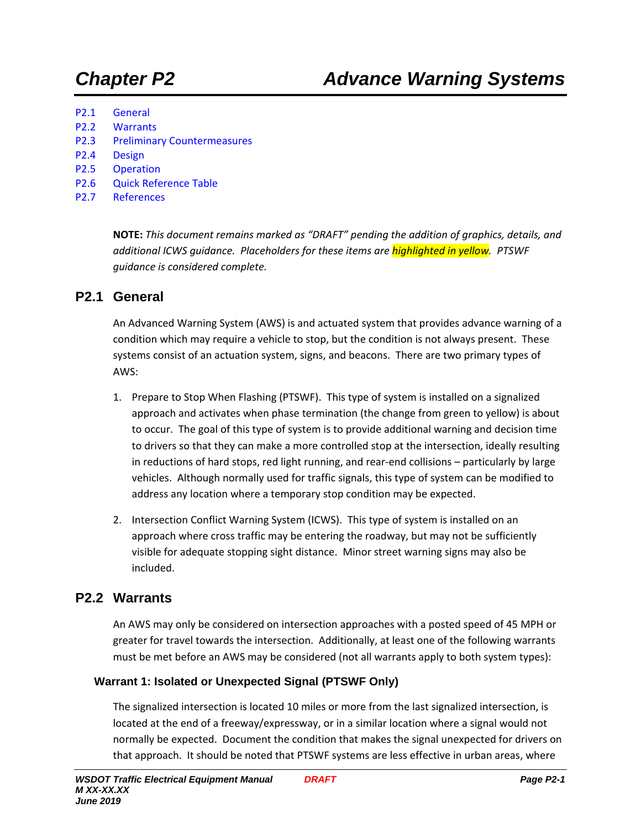- P2.1 General
- P2.2 Warrants
- P2.3 Preliminary Countermeasures
- P2.4 Design
- P2.5 Operation
- P2.6 Quick Reference Table
- P2.7 References

**NOTE:** *This document remains marked as "DRAFT" pending the addition of graphics, details, and additional ICWS guidance. Placeholders for these items are highlighted in yellow. PTSWF guidance is considered complete.*

### **P2.1 General**

An Advanced Warning System (AWS) is and actuated system that provides advance warning of a condition which may require a vehicle to stop, but the condition is not always present. These systems consist of an actuation system, signs, and beacons. There are two primary types of AWS:

- 1. Prepare to Stop When Flashing (PTSWF). This type of system is installed on a signalized approach and activates when phase termination (the change from green to yellow) is about to occur. The goal of this type of system is to provide additional warning and decision time to drivers so that they can make a more controlled stop at the intersection, ideally resulting in reductions of hard stops, red light running, and rear-end collisions – particularly by large vehicles. Although normally used for traffic signals, this type of system can be modified to address any location where a temporary stop condition may be expected.
- 2. Intersection Conflict Warning System (ICWS). This type of system is installed on an approach where cross traffic may be entering the roadway, but may not be sufficiently visible for adequate stopping sight distance. Minor street warning signs may also be included.

## **P2.2 Warrants**

An AWS may only be considered on intersection approaches with a posted speed of 45 MPH or greater for travel towards the intersection. Additionally, at least one of the following warrants must be met before an AWS may be considered (not all warrants apply to both system types):

#### **Warrant 1: Isolated or Unexpected Signal (PTSWF Only)**

The signalized intersection is located 10 miles or more from the last signalized intersection, is located at the end of a freeway/expressway, or in a similar location where a signal would not normally be expected. Document the condition that makes the signal unexpected for drivers on that approach. It should be noted that PTSWF systems are less effective in urban areas, where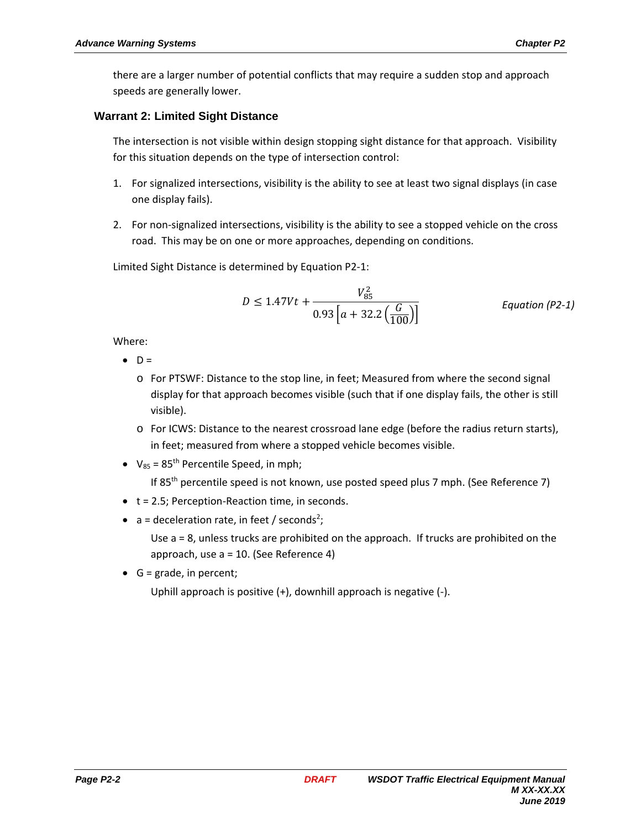there are a larger number of potential conflicts that may require a sudden stop and approach speeds are generally lower.

#### **Warrant 2: Limited Sight Distance**

The intersection is not visible within design stopping sight distance for that approach. Visibility for this situation depends on the type of intersection control:

- 1. For signalized intersections, visibility is the ability to see at least two signal displays (in case one display fails).
- 2. For non-signalized intersections, visibility is the ability to see a stopped vehicle on the cross road. This may be on one or more approaches, depending on conditions.

Limited Sight Distance is determined by Equation P2-1:

$$
D \le 1.47Vt + \frac{V_{85}^2}{0.93\left[a + 32.2\left(\frac{G}{100}\right)\right]}
$$
 Equation (P2-1)

Where:

- $\bullet$  D =
	- o For PTSWF: Distance to the stop line, in feet; Measured from where the second signal display for that approach becomes visible (such that if one display fails, the other is still visible).
	- o For ICWS: Distance to the nearest crossroad lane edge (before the radius return starts), in feet; measured from where a stopped vehicle becomes visible.
- $V_{85}$  = 85<sup>th</sup> Percentile Speed, in mph;

If 85<sup>th</sup> percentile speed is not known, use posted speed plus 7 mph. (See Reference 7)

- $\bullet$  t = 2.5; Perception-Reaction time, in seconds.
- $a =$  deceleration rate, in feet / seconds<sup>2</sup>;

Use a = 8, unless trucks are prohibited on the approach. If trucks are prohibited on the approach, use a = 10. (See Reference 4)

 $\bullet$  G = grade, in percent;

Uphill approach is positive (+), downhill approach is negative (-).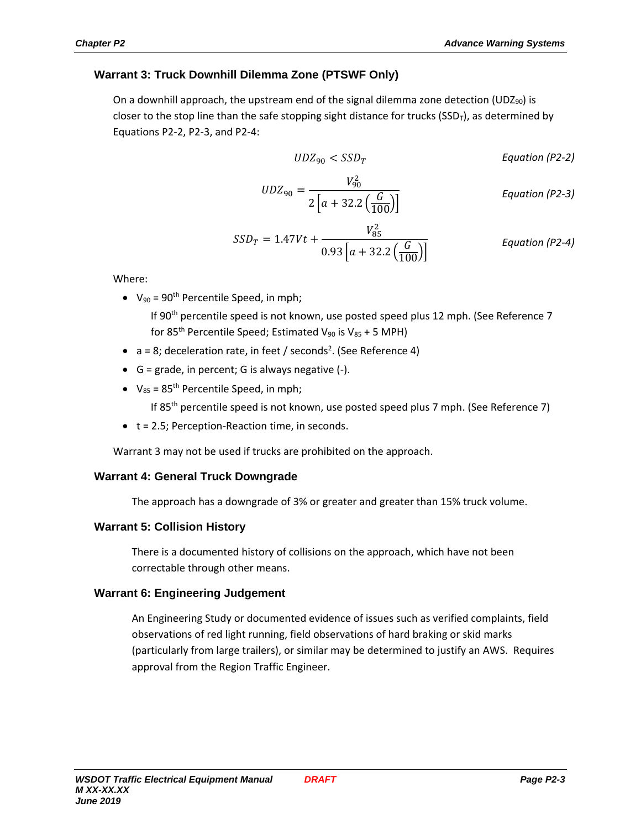#### **Warrant 3: Truck Downhill Dilemma Zone (PTSWF Only)**

On a downhill approach, the upstream end of the signal dilemma zone detection (UDZ $_{90}$ ) is closer to the stop line than the safe stopping sight distance for trucks (SSD<sub>T</sub>), as determined by Equations P2-2, P2-3, and P2-4:

$$
UDZ_{90} < SSD_T
$$
 \tEquation (P2-2)

$$
UDZ_{90} = \frac{V_{90}^2}{2\left[a + 32.2\left(\frac{G}{100}\right)\right]}
$$
 Equation (P2-3)

$$
SSD_T = 1.47Vt + \frac{V_{85}^2}{0.93\left[a + 32.2\left(\frac{G}{100}\right)\right]}
$$
 Equation (P2-4)

Where:

•  $V_{90} = 90^{th}$  Percentile Speed, in mph;

If 90<sup>th</sup> percentile speed is not known, use posted speed plus 12 mph. (See Reference 7 for 85<sup>th</sup> Percentile Speed; Estimated V<sub>90</sub> is V<sub>85</sub> + 5 MPH)

- $\bullet$  a = 8; deceleration rate, in feet / seconds<sup>2</sup>. (See Reference 4)
- $\bullet$  G = grade, in percent; G is always negative  $(-)$ .
- $V_{85}$  = 85<sup>th</sup> Percentile Speed, in mph;

If 85<sup>th</sup> percentile speed is not known, use posted speed plus 7 mph. (See Reference 7)

 $\bullet$  t = 2.5; Perception-Reaction time, in seconds.

Warrant 3 may not be used if trucks are prohibited on the approach.

#### **Warrant 4: General Truck Downgrade**

The approach has a downgrade of 3% or greater and greater than 15% truck volume.

#### **Warrant 5: Collision History**

There is a documented history of collisions on the approach, which have not been correctable through other means.

#### **Warrant 6: Engineering Judgement**

An Engineering Study or documented evidence of issues such as verified complaints, field observations of red light running, field observations of hard braking or skid marks (particularly from large trailers), or similar may be determined to justify an AWS. Requires approval from the Region Traffic Engineer.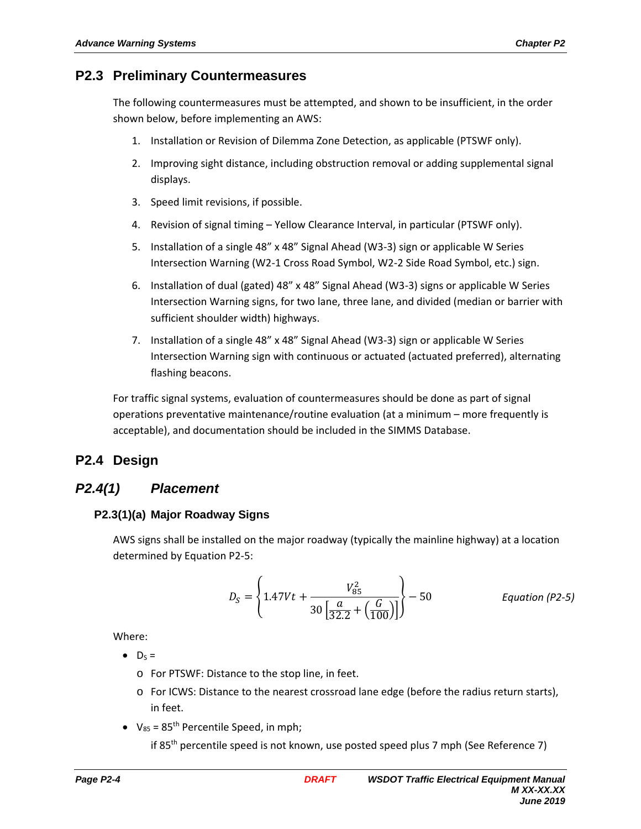# **P2.3 Preliminary Countermeasures**

The following countermeasures must be attempted, and shown to be insufficient, in the order shown below, before implementing an AWS:

- 1. Installation or Revision of Dilemma Zone Detection, as applicable (PTSWF only).
- 2. Improving sight distance, including obstruction removal or adding supplemental signal displays.
- 3. Speed limit revisions, if possible.
- 4. Revision of signal timing Yellow Clearance Interval, in particular (PTSWF only).
- 5. Installation of a single 48" x 48" Signal Ahead (W3-3) sign or applicable W Series Intersection Warning (W2-1 Cross Road Symbol, W2-2 Side Road Symbol, etc.) sign.
- 6. Installation of dual (gated) 48" x 48" Signal Ahead (W3-3) signs or applicable W Series Intersection Warning signs, for two lane, three lane, and divided (median or barrier with sufficient shoulder width) highways.
- 7. Installation of a single 48" x 48" Signal Ahead (W3-3) sign or applicable W Series Intersection Warning sign with continuous or actuated (actuated preferred), alternating flashing beacons.

For traffic signal systems, evaluation of countermeasures should be done as part of signal operations preventative maintenance/routine evaluation (at a minimum – more frequently is acceptable), and documentation should be included in the SIMMS Database.

# **P2.4 Design**

# *P2.4(1) Placement*

## **P2.3(1)(a) Major Roadway Signs**

AWS signs shall be installed on the major roadway (typically the mainline highway) at a location determined by Equation P2-5:

$$
D_S = \left\{ 1.47Vt + \frac{V_{85}^2}{30\left[\frac{a}{32.2} + \left(\frac{G}{100}\right)\right]} \right\} - 50
$$
 Equation (P2-5)

Where:

- $\bullet$  D<sub>S</sub> =
	- o For PTSWF: Distance to the stop line, in feet.
	- o For ICWS: Distance to the nearest crossroad lane edge (before the radius return starts), in feet.
- $V_{85}$  = 85<sup>th</sup> Percentile Speed, in mph;

if 85th percentile speed is not known, use posted speed plus 7 mph (See Reference 7)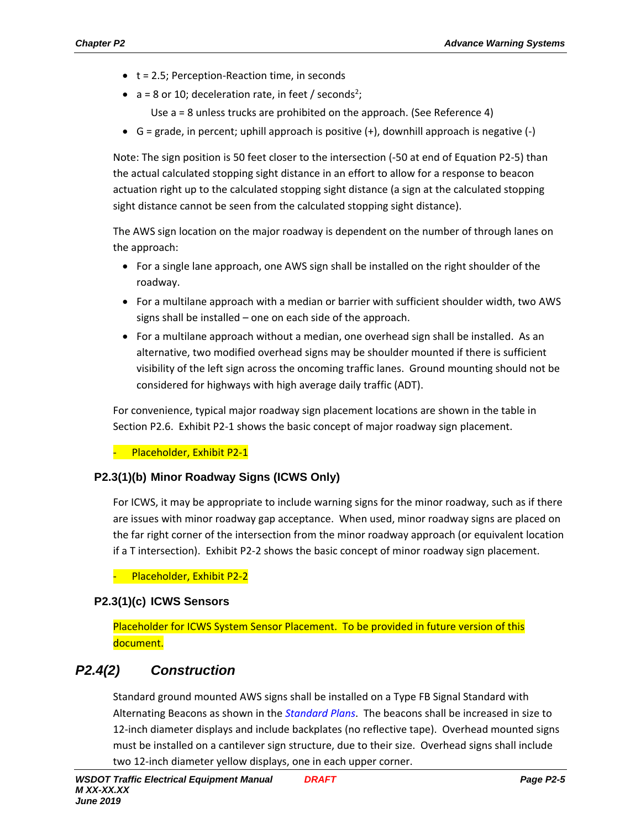- $\bullet$  t = 2.5; Perception-Reaction time, in seconds
- $a = 8$  or 10; deceleration rate, in feet / seconds<sup>2</sup>;
	- Use a = 8 unless trucks are prohibited on the approach. (See Reference 4)
- $G =$  grade, in percent; uphill approach is positive  $(+)$ , downhill approach is negative  $(-)$

Note: The sign position is 50 feet closer to the intersection (-50 at end of Equation P2-5) than the actual calculated stopping sight distance in an effort to allow for a response to beacon actuation right up to the calculated stopping sight distance (a sign at the calculated stopping sight distance cannot be seen from the calculated stopping sight distance).

The AWS sign location on the major roadway is dependent on the number of through lanes on the approach:

- For a single lane approach, one AWS sign shall be installed on the right shoulder of the roadway.
- For a multilane approach with a median or barrier with sufficient shoulder width, two AWS signs shall be installed – one on each side of the approach.
- For a multilane approach without a median, one overhead sign shall be installed. As an alternative, two modified overhead signs may be shoulder mounted if there is sufficient visibility of the left sign across the oncoming traffic lanes. Ground mounting should not be considered for highways with high average daily traffic (ADT).

For convenience, typical major roadway sign placement locations are shown in the table in Section P2.6. Exhibit P2-1 shows the basic concept of major roadway sign placement.

Placeholder, Exhibit P2-1

#### **P2.3(1)(b) Minor Roadway Signs (ICWS Only)**

For ICWS, it may be appropriate to include warning signs for the minor roadway, such as if there are issues with minor roadway gap acceptance. When used, minor roadway signs are placed on the far right corner of the intersection from the minor roadway approach (or equivalent location if a T intersection). Exhibit P2-2 shows the basic concept of minor roadway sign placement.

- Placeholder, Exhibit P2-2

#### **P2.3(1)(c) ICWS Sensors**

Placeholder for ICWS System Sensor Placement. To be provided in future version of this document.

# *P2.4(2) Construction*

Standard ground mounted AWS signs shall be installed on a Type FB Signal Standard with Alternating Beacons as shown in the *Standard Plans*. The beacons shall be increased in size to 12-inch diameter displays and include backplates (no reflective tape). Overhead mounted signs must be installed on a cantilever sign structure, due to their size. Overhead signs shall include two 12-inch diameter yellow displays, one in each upper corner.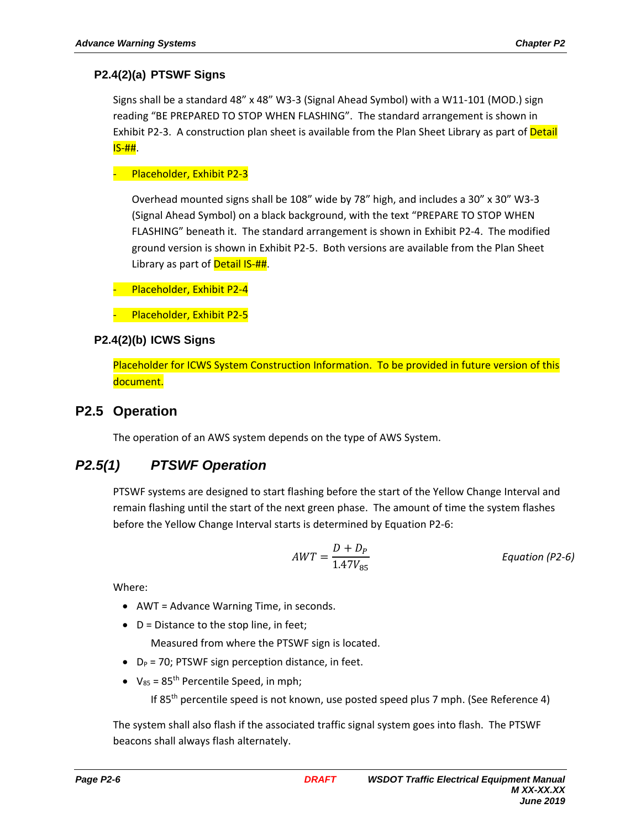#### **P2.4(2)(a) PTSWF Signs**

Signs shall be a standard 48" x 48" W3-3 (Signal Ahead Symbol) with a W11-101 (MOD.) sign reading "BE PREPARED TO STOP WHEN FLASHING". The standard arrangement is shown in Exhibit P2-3. A construction plan sheet is available from the Plan Sheet Library as part of Detail IS-##.

#### - Placeholder, Exhibit P2-3

Overhead mounted signs shall be 108" wide by 78" high, and includes a 30" x 30" W3-3 (Signal Ahead Symbol) on a black background, with the text "PREPARE TO STOP WHEN FLASHING" beneath it. The standard arrangement is shown in Exhibit P2-4. The modified ground version is shown in Exhibit P2-5. Both versions are available from the Plan Sheet Library as part of Detail IS-##.

- Placeholder, Exhibit P2-4
- Placeholder, Exhibit P2-5

#### **P2.4(2)(b) ICWS Signs**

Placeholder for ICWS System Construction Information. To be provided in future version of this document.

#### **P2.5 Operation**

The operation of an AWS system depends on the type of AWS System.

# *P2.5(1) PTSWF Operation*

PTSWF systems are designed to start flashing before the start of the Yellow Change Interval and remain flashing until the start of the next green phase. The amount of time the system flashes before the Yellow Change Interval starts is determined by Equation P2-6:

$$
AWT = \frac{D + D_P}{1.47V_{85}}
$$
 *Equation (P2-6)*

Where:

- AWT = Advance Warning Time, in seconds.
- $\bullet$  D = Distance to the stop line, in feet;

Measured from where the PTSWF sign is located.

- $\bullet$  D<sub>P</sub> = 70; PTSWF sign perception distance, in feet.
- $V_{85}$  = 85<sup>th</sup> Percentile Speed, in mph;

If 85<sup>th</sup> percentile speed is not known, use posted speed plus 7 mph. (See Reference 4)

The system shall also flash if the associated traffic signal system goes into flash. The PTSWF beacons shall always flash alternately.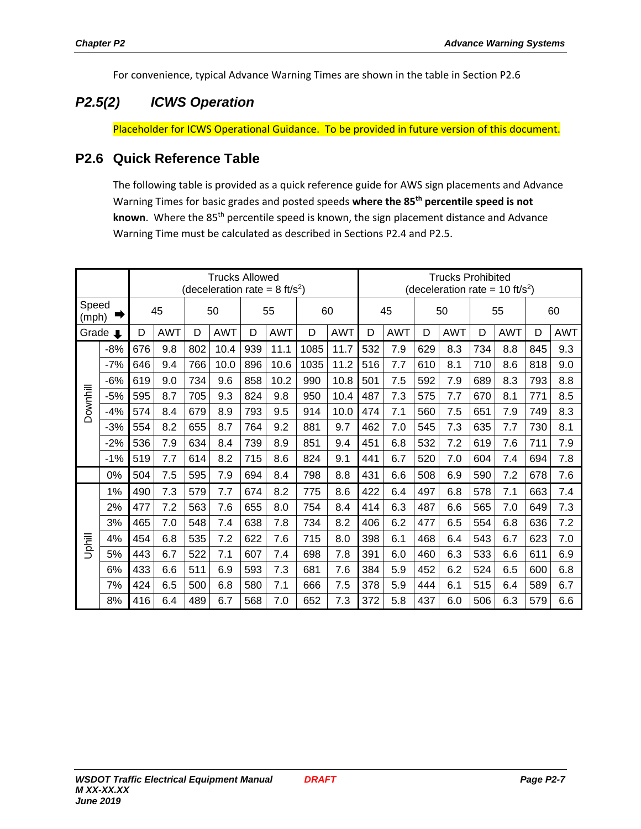For convenience, typical Advance Warning Times are shown in the table in Section P2.6

# *P2.5(2) ICWS Operation*

Placeholder for ICWS Operational Guidance. To be provided in future version of this document.

## **P2.6 Quick Reference Table**

The following table is provided as a quick reference guide for AWS sign placements and Advance Warning Times for basic grades and posted speeds **where the 85th percentile speed is not**  known. Where the 85<sup>th</sup> percentile speed is known, the sign placement distance and Advance Warning Time must be calculated as described in Sections P2.4 and P2.5.

|                |       | <b>Trucks Allowed</b><br>(deceleration rate = 8 ft/s <sup>2</sup> ) |            |     |            |     |            |      |            | <b>Trucks Prohibited</b><br>(deceleration rate = $10 \text{ ft/s}^2$ ) |            |     |            |     |            |     |            |
|----------------|-------|---------------------------------------------------------------------|------------|-----|------------|-----|------------|------|------------|------------------------------------------------------------------------|------------|-----|------------|-----|------------|-----|------------|
| Speed<br>(mph) |       | 45                                                                  |            | 50  |            | 55  |            | 60   |            | 45                                                                     |            | 50  |            | 55  |            | 60  |            |
| Grade<br>L     |       | D                                                                   | <b>AWT</b> | D   | <b>AWT</b> | D   | <b>AWT</b> | D    | <b>AWT</b> | D                                                                      | <b>AWT</b> | D   | <b>AWT</b> | D   | <b>AWT</b> | D   | <b>AWT</b> |
| Downhill       | $-8%$ | 676                                                                 | 9.8        | 802 | 10.4       | 939 | 11.1       | 1085 | 11.7       | 532                                                                    | 7.9        | 629 | 8.3        | 734 | 8.8        | 845 | 9.3        |
|                | $-7%$ | 646                                                                 | 9.4        | 766 | 10.0       | 896 | 10.6       | 1035 | 11.2       | 516                                                                    | 7.7        | 610 | 8.1        | 710 | 8.6        | 818 | 9.0        |
|                | $-6%$ | 619                                                                 | 9.0        | 734 | 9.6        | 858 | 10.2       | 990  | 10.8       | 501                                                                    | 7.5        | 592 | 7.9        | 689 | 8.3        | 793 | 8.8        |
|                | $-5%$ | 595                                                                 | 8.7        | 705 | 9.3        | 824 | 9.8        | 950  | 10.4       | 487                                                                    | 7.3        | 575 | 7.7        | 670 | 8.1        | 771 | 8.5        |
|                | $-4%$ | 574                                                                 | 8.4        | 679 | 8.9        | 793 | 9.5        | 914  | 10.0       | 474                                                                    | 7.1        | 560 | 7.5        | 651 | 7.9        | 749 | 8.3        |
|                | $-3%$ | 554                                                                 | 8.2        | 655 | 8.7        | 764 | 9.2        | 881  | 9.7        | 462                                                                    | 7.0        | 545 | 7.3        | 635 | 7.7        | 730 | 8.1        |
|                | $-2%$ | 536                                                                 | 7.9        | 634 | 8.4        | 739 | 8.9        | 851  | 9.4        | 451                                                                    | 6.8        | 532 | 7.2        | 619 | 7.6        | 711 | 7.9        |
|                | $-1%$ | 519                                                                 | 7.7        | 614 | 8.2        | 715 | 8.6        | 824  | 9.1        | 441                                                                    | 6.7        | 520 | 7.0        | 604 | 7.4        | 694 | 7.8        |
|                | 0%    | 504                                                                 | 7.5        | 595 | 7.9        | 694 | 8.4        | 798  | 8.8        | 431                                                                    | 6.6        | 508 | 6.9        | 590 | 7.2        | 678 | 7.6        |
| Uphill         | 1%    | 490                                                                 | 7.3        | 579 | 7.7        | 674 | 8.2        | 775  | 8.6        | 422                                                                    | 6.4        | 497 | 6.8        | 578 | 7.1        | 663 | 7.4        |
|                | 2%    | 477                                                                 | 7.2        | 563 | 7.6        | 655 | 8.0        | 754  | 8.4        | 414                                                                    | 6.3        | 487 | 6.6        | 565 | 7.0        | 649 | 7.3        |
|                | 3%    | 465                                                                 | 7.0        | 548 | 7.4        | 638 | 7.8        | 734  | 8.2        | 406                                                                    | 6.2        | 477 | 6.5        | 554 | 6.8        | 636 | 7.2        |
|                | 4%    | 454                                                                 | 6.8        | 535 | 7.2        | 622 | 7.6        | 715  | 8.0        | 398                                                                    | 6.1        | 468 | 6.4        | 543 | 6.7        | 623 | 7.0        |
|                | 5%    | 443                                                                 | 6.7        | 522 | 7.1        | 607 | 7.4        | 698  | 7.8        | 391                                                                    | 6.0        | 460 | 6.3        | 533 | 6.6        | 611 | 6.9        |
|                | 6%    | 433                                                                 | 6.6        | 511 | 6.9        | 593 | 7.3        | 681  | 7.6        | 384                                                                    | 5.9        | 452 | 6.2        | 524 | 6.5        | 600 | 6.8        |
|                | 7%    | 424                                                                 | 6.5        | 500 | 6.8        | 580 | 7.1        | 666  | 7.5        | 378                                                                    | 5.9        | 444 | 6.1        | 515 | 6.4        | 589 | 6.7        |
|                | 8%    | 416                                                                 | 6.4        | 489 | 6.7        | 568 | 7.0        | 652  | 7.3        | 372                                                                    | 5.8        | 437 | 6.0        | 506 | 6.3        | 579 | 6.6        |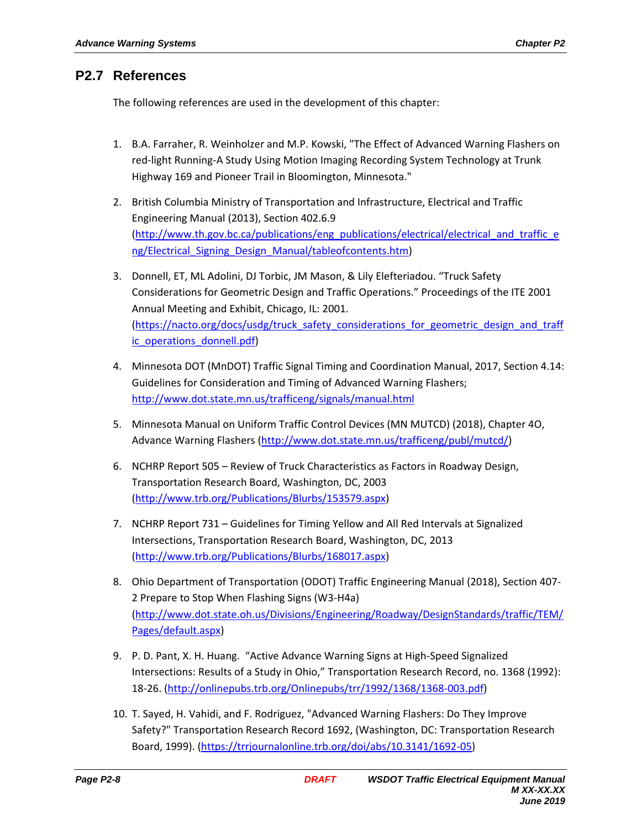## **P2.7 References**

The following references are used in the development of this chapter:

- 1. B.A. Farraher, R. Weinholzer and M.P. Kowski, "The Effect of Advanced Warning Flashers on red-light Running-A Study Using Motion Imaging Recording System Technology at Trunk Highway 169 and Pioneer Trail in Bloomington, Minnesota."
- 2. British Columbia Ministry of Transportation and Infrastructure, Electrical and Traffic Engineering Manual (2013), Section 402.6.9 (http://www.th.gov.bc.ca/publications/eng\_publications/electrical/electrical\_and\_traffic\_e ng/Electrical Signing Design Manual/tableofcontents.htm)
- 3. Donnell, ET, ML Adolini, DJ Torbic, JM Mason, & Lily Elefteriadou. "Truck Safety Considerations for Geometric Design and Traffic Operations." Proceedings of the ITE 2001 Annual Meeting and Exhibit, Chicago, IL: 2001. (https://nacto.org/docs/usdg/truck\_safety\_considerations\_for\_geometric\_design\_and\_traff ic operations donnell.pdf)
- 4. Minnesota DOT (MnDOT) Traffic Signal Timing and Coordination Manual, 2017, Section 4.14: Guidelines for Consideration and Timing of Advanced Warning Flashers; http://www.dot.state.mn.us/trafficeng/signals/manual.html
- 5. Minnesota Manual on Uniform Traffic Control Devices (MN MUTCD) (2018), Chapter 4O, Advance Warning Flashers (http://www.dot.state.mn.us/trafficeng/publ/mutcd/)
- 6. NCHRP Report 505 Review of Truck Characteristics as Factors in Roadway Design, Transportation Research Board, Washington, DC, 2003 (http://www.trb.org/Publications/Blurbs/153579.aspx)
- 7. NCHRP Report 731 Guidelines for Timing Yellow and All Red Intervals at Signalized Intersections, Transportation Research Board, Washington, DC, 2013 (http://www.trb.org/Publications/Blurbs/168017.aspx)
- 8. Ohio Department of Transportation (ODOT) Traffic Engineering Manual (2018), Section 407- 2 Prepare to Stop When Flashing Signs (W3-H4a) (http://www.dot.state.oh.us/Divisions/Engineering/Roadway/DesignStandards/traffic/TEM/ Pages/default.aspx)
- 9. P. D. Pant, X. H. Huang. "Active Advance Warning Signs at High-Speed Signalized Intersections: Results of a Study in Ohio," Transportation Research Record, no. 1368 (1992): 18-26. (http://onlinepubs.trb.org/Onlinepubs/trr/1992/1368/1368-003.pdf)
- 10. T. Sayed, H. Vahidi, and F. Rodriguez, "Advanced Warning Flashers: Do They Improve Safety?" Transportation Research Record 1692, (Washington, DC: Transportation Research Board, 1999). (https://trrjournalonline.trb.org/doi/abs/10.3141/1692-05)